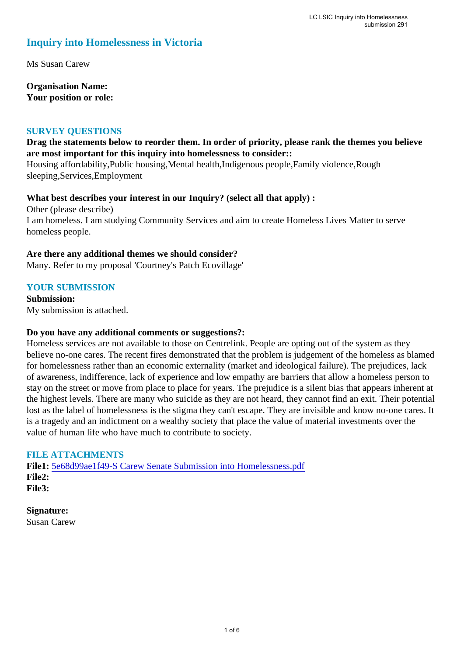### **Inquiry into Homelessness in Victoria**

Ms Susan Carew

**Organisation Name: Your position or role:** 

### **SURVEY QUESTIONS**

### **Drag the statements below to reorder them. In order of priority, please rank the themes you believe are most important for this inquiry into homelessness to consider::**

Housing affordability,Public housing,Mental health,Indigenous people,Family violence,Rough sleeping,Services,Employment

**What best describes your interest in our Inquiry? (select all that apply) :** 

Other (please describe) I am homeless. I am studying Community Services and aim to create Homeless Lives Matter to serve homeless people.

### **Are there any additional themes we should consider?**

Many. Refer to my proposal 'Courtney's Patch Ecovillage'

### **YOUR SUBMISSION**

**Submission:**  My submission is attached.

### **Do you have any additional comments or suggestions?:**

Homeless services are not available to those on Centrelink. People are opting out of the system as they believe no-one cares. The recent fires demonstrated that the problem is judgement of the homeless as blamed for homelessness rather than an economic externality (market and ideological failure). The prejudices, lack of awareness, indifference, lack of experience and low empathy are barriers that allow a homeless person to stay on the street or move from place to place for years. The prejudice is a silent bias that appears inherent at the highest levels. There are many who suicide as they are not heard, they cannot find an exit. Their potential lost as the label of homelessness is the stigma they can't escape. They are invisible and know no-one cares. It is a tragedy and an indictment on a wealthy society that place the value of material investments over the value of human life who have much to contribute to society.

### **FILE ATTACHMENTS**

**File1:** 5e68d99ae1f49-S Carew Senate Submission into Homelessness.pdf **File2: File3:** 

**Signature:** Susan Carew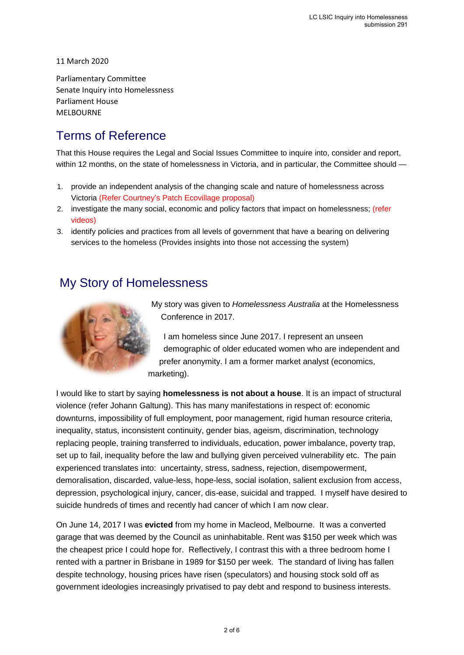11 March 2020

Parliamentary Committee Senate Inquiry into Homelessness Parliament House MELBOURNE

## Terms of Reference

That this House requires the Legal and Social Issues Committee to inquire into, consider and report, within 12 months, on the state of homelessness in Victoria, and in particular, the Committee should —

- 1. provide an independent analysis of the changing scale and nature of homelessness across Victoria (Refer Courtney's Patch Ecovillage proposal)
- 2. investigate the many social, economic and policy factors that impact on homelessness; (refer videos)
- 3. identify policies and practices from all levels of government that have a bearing on delivering services to the homeless (Provides insights into those not accessing the system)

### My Story of Homelessness



My story was given to *Homelessness Australia* at the Homelessness Conference in 2017.

I am homeless since June 2017. I represent an unseen demographic of older educated women who are independent and prefer anonymity. I am a former market analyst (economics, marketing).

I would like to start by saying **homelessness is not about a house**. It is an impact of structural violence (refer Johann Galtung). This has many manifestations in respect of: economic downturns, impossibility of full employment, poor management, rigid human resource criteria, inequality, status, inconsistent continuity, gender bias, ageism, discrimination, technology replacing people, training transferred to individuals, education, power imbalance, poverty trap, set up to fail, inequality before the law and bullying given perceived vulnerability etc. The pain experienced translates into: uncertainty, stress, sadness, rejection, disempowerment, demoralisation, discarded, value-less, hope-less, social isolation, salient exclusion from access, depression, psychological injury, cancer, dis-ease, suicidal and trapped. I myself have desired to suicide hundreds of times and recently had cancer of which I am now clear.

On June 14, 2017 I was **evicted** from my home in Macleod, Melbourne. It was a converted garage that was deemed by the Council as uninhabitable. Rent was \$150 per week which was the cheapest price I could hope for. Reflectively, I contrast this with a three bedroom home I rented with a partner in Brisbane in 1989 for \$150 per week. The standard of living has fallen despite technology, housing prices have risen (speculators) and housing stock sold off as government ideologies increasingly privatised to pay debt and respond to business interests.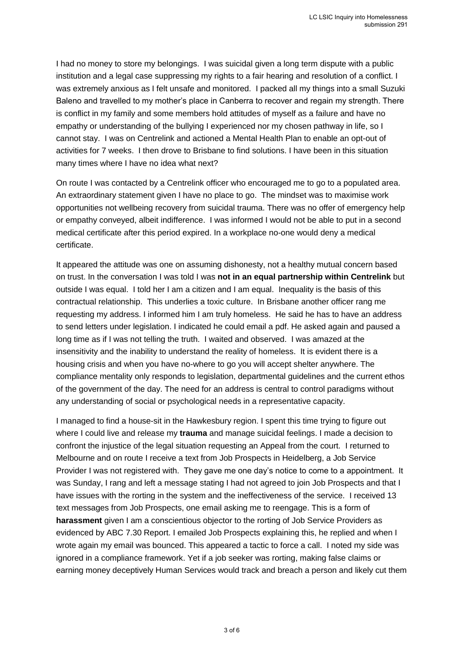I had no money to store my belongings. I was suicidal given a long term dispute with a public institution and a legal case suppressing my rights to a fair hearing and resolution of a conflict. I was extremely anxious as I felt unsafe and monitored. I packed all my things into a small Suzuki Baleno and travelled to my mother's place in Canberra to recover and regain my strength. There is conflict in my family and some members hold attitudes of myself as a failure and have no empathy or understanding of the bullying I experienced nor my chosen pathway in life, so I cannot stay. I was on Centrelink and actioned a Mental Health Plan to enable an opt-out of activities for 7 weeks. I then drove to Brisbane to find solutions. I have been in this situation many times where I have no idea what next?

On route I was contacted by a Centrelink officer who encouraged me to go to a populated area. An extraordinary statement given I have no place to go. The mindset was to maximise work opportunities not wellbeing recovery from suicidal trauma. There was no offer of emergency help or empathy conveyed, albeit indifference. I was informed I would not be able to put in a second medical certificate after this period expired. In a workplace no-one would deny a medical certificate.

It appeared the attitude was one on assuming dishonesty, not a healthy mutual concern based on trust. In the conversation I was told I was **not in an equal partnership within Centrelink** but outside I was equal. I told her I am a citizen and I am equal. Inequality is the basis of this contractual relationship. This underlies a toxic culture. In Brisbane another officer rang me requesting my address. I informed him I am truly homeless. He said he has to have an address to send letters under legislation. I indicated he could email a pdf. He asked again and paused a long time as if I was not telling the truth. I waited and observed. I was amazed at the insensitivity and the inability to understand the reality of homeless. It is evident there is a housing crisis and when you have no-where to go you will accept shelter anywhere. The compliance mentality only responds to legislation, departmental guidelines and the current ethos of the government of the day. The need for an address is central to control paradigms without any understanding of social or psychological needs in a representative capacity.

I managed to find a house-sit in the Hawkesbury region. I spent this time trying to figure out where I could live and release my **trauma** and manage suicidal feelings. I made a decision to confront the injustice of the legal situation requesting an Appeal from the court. I returned to Melbourne and on route I receive a text from Job Prospects in Heidelberg, a Job Service Provider I was not registered with. They gave me one day's notice to come to a appointment. It was Sunday, I rang and left a message stating I had not agreed to join Job Prospects and that I have issues with the rorting in the system and the ineffectiveness of the service. I received 13 text messages from Job Prospects, one email asking me to reengage. This is a form of **harassment** given I am a conscientious objector to the rorting of Job Service Providers as evidenced by ABC 7.30 Report. I emailed Job Prospects explaining this, he replied and when I wrote again my email was bounced. This appeared a tactic to force a call. I noted my side was ignored in a compliance framework. Yet if a job seeker was rorting, making false claims or earning money deceptively Human Services would track and breach a person and likely cut them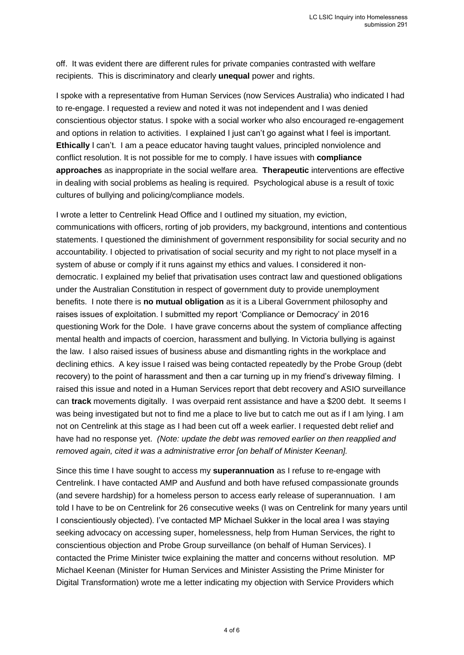off. It was evident there are different rules for private companies contrasted with welfare recipients. This is discriminatory and clearly **unequal** power and rights.

I spoke with a representative from Human Services (now Services Australia) who indicated I had to re-engage. I requested a review and noted it was not independent and I was denied conscientious objector status. I spoke with a social worker who also encouraged re-engagement and options in relation to activities. I explained I just can't go against what I feel is important. **Ethically** I can't. I am a peace educator having taught values, principled nonviolence and conflict resolution. It is not possible for me to comply. I have issues with **compliance approaches** as inappropriate in the social welfare area. **Therapeutic** interventions are effective in dealing with social problems as healing is required. Psychological abuse is a result of toxic cultures of bullying and policing/compliance models.

I wrote a letter to Centrelink Head Office and I outlined my situation, my eviction, communications with officers, rorting of job providers, my background, intentions and contentious statements. I questioned the diminishment of government responsibility for social security and no accountability. I objected to privatisation of social security and my right to not place myself in a system of abuse or comply if it runs against my ethics and values. I considered it nondemocratic. I explained my belief that privatisation uses contract law and questioned obligations under the Australian Constitution in respect of government duty to provide unemployment benefits. I note there is **no mutual obligation** as it is a Liberal Government philosophy and raises issues of exploitation. I submitted my report 'Compliance or Democracy' in 2016 questioning Work for the Dole. I have grave concerns about the system of compliance affecting mental health and impacts of coercion, harassment and bullying. In Victoria bullying is against the law. I also raised issues of business abuse and dismantling rights in the workplace and declining ethics. A key issue I raised was being contacted repeatedly by the Probe Group (debt recovery) to the point of harassment and then a car turning up in my friend's driveway filming. I raised this issue and noted in a Human Services report that debt recovery and ASIO surveillance can **track** movements digitally. I was overpaid rent assistance and have a \$200 debt. It seems I was being investigated but not to find me a place to live but to catch me out as if I am lying. I am not on Centrelink at this stage as I had been cut off a week earlier. I requested debt relief and have had no response yet. *(Note: update the debt was removed earlier on then reapplied and removed again, cited it was a administrative error [on behalf of Minister Keenan].*

Since this time I have sought to access my **superannuation** as I refuse to re-engage with Centrelink. I have contacted AMP and Ausfund and both have refused compassionate grounds (and severe hardship) for a homeless person to access early release of superannuation. I am told I have to be on Centrelink for 26 consecutive weeks (I was on Centrelink for many years until I conscientiously objected). I've contacted MP Michael Sukker in the local area I was staying seeking advocacy on accessing super, homelessness, help from Human Services, the right to conscientious objection and Probe Group surveillance (on behalf of Human Services). I contacted the Prime Minister twice explaining the matter and concerns without resolution. MP Michael Keenan (Minister for Human Services and Minister Assisting the Prime Minister for Digital Transformation) wrote me a letter indicating my objection with Service Providers which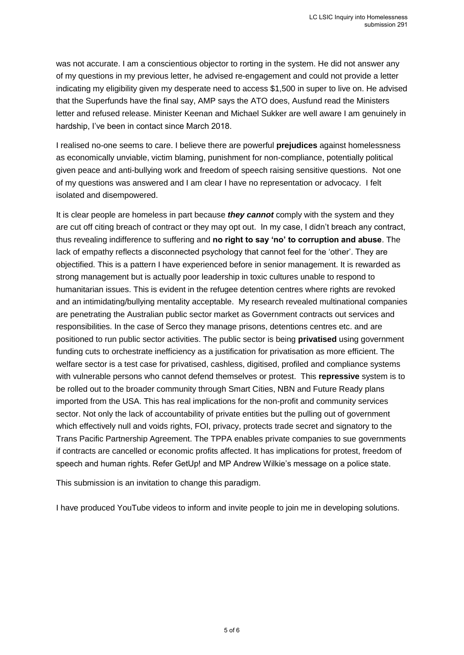was not accurate. I am a conscientious objector to rorting in the system. He did not answer any of my questions in my previous letter, he advised re-engagement and could not provide a letter indicating my eligibility given my desperate need to access \$1,500 in super to live on. He advised that the Superfunds have the final say, AMP says the ATO does, Ausfund read the Ministers letter and refused release. Minister Keenan and Michael Sukker are well aware I am genuinely in hardship, I've been in contact since March 2018.

I realised no-one seems to care. I believe there are powerful **prejudices** against homelessness as economically unviable, victim blaming, punishment for non-compliance, potentially political given peace and anti-bullying work and freedom of speech raising sensitive questions. Not one of my questions was answered and I am clear I have no representation or advocacy. I felt isolated and disempowered.

It is clear people are homeless in part because *they cannot* comply with the system and they are cut off citing breach of contract or they may opt out. In my case, I didn't breach any contract, thus revealing indifference to suffering and **no right to say 'no' to corruption and abuse**. The lack of empathy reflects a disconnected psychology that cannot feel for the 'other'. They are objectified. This is a pattern I have experienced before in senior management. It is rewarded as strong management but is actually poor leadership in toxic cultures unable to respond to humanitarian issues. This is evident in the refugee detention centres where rights are revoked and an intimidating/bullying mentality acceptable. My research revealed multinational companies are penetrating the Australian public sector market as Government contracts out services and responsibilities. In the case of Serco they manage prisons, detentions centres etc. and are positioned to run public sector activities. The public sector is being **privatised** using government funding cuts to orchestrate inefficiency as a justification for privatisation as more efficient. The welfare sector is a test case for privatised, cashless, digitised, profiled and compliance systems with vulnerable persons who cannot defend themselves or protest. This **repressive** system is to be rolled out to the broader community through Smart Cities, NBN and Future Ready plans imported from the USA. This has real implications for the non-profit and community services sector. Not only the lack of accountability of private entities but the pulling out of government which effectively null and voids rights, FOI, privacy, protects trade secret and signatory to the Trans Pacific Partnership Agreement. The TPPA enables private companies to sue governments if contracts are cancelled or economic profits affected. It has implications for protest, freedom of speech and human rights. Refer GetUp! and MP Andrew Wilkie's message on a police state.

This submission is an invitation to change this paradigm.

I have produced YouTube videos to inform and invite people to join me in developing solutions.